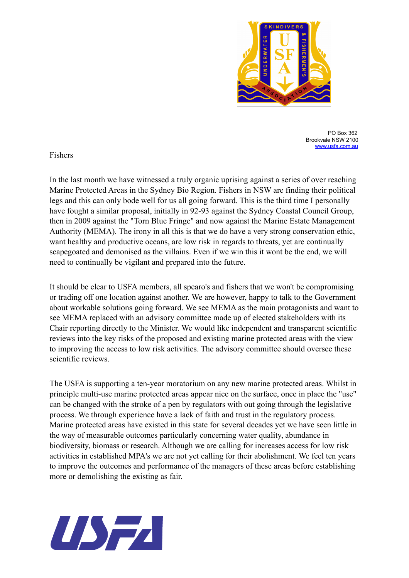

PO Box 362 Brookvale NSW 2100 [www.usfa.com.au](http://www.usfa.com.au)

## Fishers

In the last month we have witnessed a truly organic uprising against a series of over reaching Marine Protected Areas in the Sydney Bio Region. Fishers in NSW are finding their political legs and this can only bode well for us all going forward. This is the third time I personally have fought a similar proposal, initially in 92-93 against the Sydney Coastal Council Group, then in 2009 against the "Torn Blue Fringe" and now against the Marine Estate Management Authority (MEMA). The irony in all this is that we do have a very strong conservation ethic, want healthy and productive oceans, are low risk in regards to threats, yet are continually scapegoated and demonised as the villains. Even if we win this it wont be the end, we will need to continually be vigilant and prepared into the future.

It should be clear to USFA members, all spearo's and fishers that we won't be compromising or trading off one location against another. We are however, happy to talk to the Government about workable solutions going forward. We see MEMA as the main protagonists and want to see MEMA replaced with an advisory committee made up of elected stakeholders with its Chair reporting directly to the Minister. We would like independent and transparent scientific reviews into the key risks of the proposed and existing marine protected areas with the view to improving the access to low risk activities. The advisory committee should oversee these scientific reviews.

The USFA is supporting a ten-year moratorium on any new marine protected areas. Whilst in principle multi-use marine protected areas appear nice on the surface, once in place the "use" can be changed with the stroke of a pen by regulators with out going through the legislative process. We through experience have a lack of faith and trust in the regulatory process. Marine protected areas have existed in this state for several decades yet we have seen little in the way of measurable outcomes particularly concerning water quality, abundance in biodiversity, biomass or research. Although we are calling for increases access for low risk activities in established MPA's we are not yet calling for their abolishment. We feel ten years to improve the outcomes and performance of the managers of these areas before establishing more or demolishing the existing as fair.